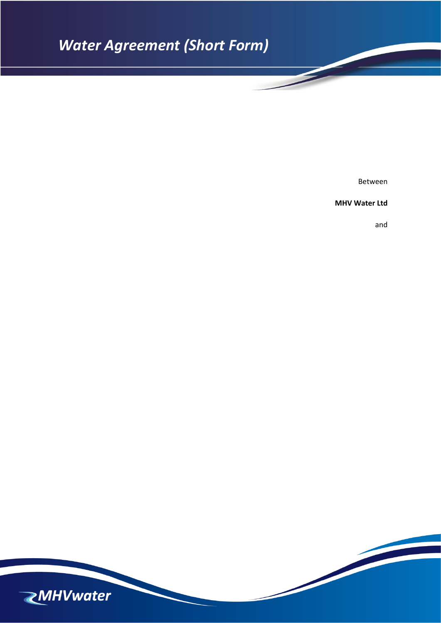# *Water Agreement (Short Form)*

Between

**MHV Water Ltd**

and

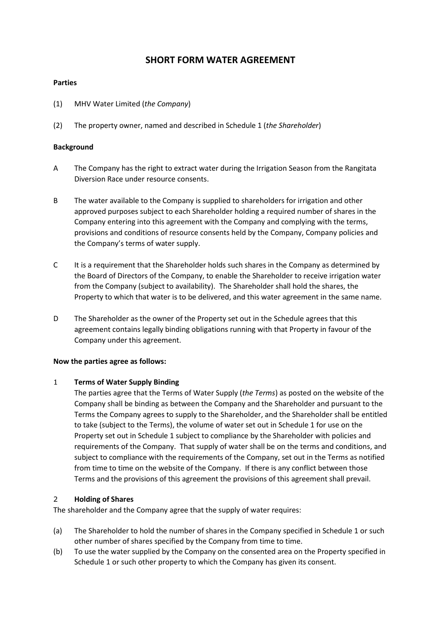# **SHORT FORM WATER AGREEMENT**

## **Parties**

- (1) MHV Water Limited (*the Company*)
- (2) The property owner, named and described in Schedule 1 (*the Shareholder*)

## **Background**

- A The Company has the right to extract water during the Irrigation Season from the Rangitata Diversion Race under resource consents.
- B The water available to the Company is supplied to shareholders for irrigation and other approved purposes subject to each Shareholder holding a required number of shares in the Company entering into this agreement with the Company and complying with the terms, provisions and conditions of resource consents held by the Company, Company policies and the Company's terms of water supply.
- C It is a requirement that the Shareholder holds such shares in the Company as determined by the Board of Directors of the Company, to enable the Shareholder to receive irrigation water from the Company (subject to availability). The Shareholder shall hold the shares, the Property to which that water is to be delivered, and this water agreement in the same name.
- D The Shareholder as the owner of the Property set out in the Schedule agrees that this agreement contains legally binding obligations running with that Property in favour of the Company under this agreement.

### **Now the parties agree as follows:**

### 1 **Terms of Water Supply Binding**

The parties agree that the Terms of Water Supply (*the Terms*) as posted on the website of the Company shall be binding as between the Company and the Shareholder and pursuant to the Terms the Company agrees to supply to the Shareholder, and the Shareholder shall be entitled to take (subject to the Terms), the volume of water set out in Schedule 1 for use on the Property set out in Schedule 1 subject to compliance by the Shareholder with policies and requirements of the Company. That supply of water shall be on the terms and conditions, and subject to compliance with the requirements of the Company, set out in the Terms as notified from time to time on the website of the Company. If there is any conflict between those Terms and the provisions of this agreement the provisions of this agreement shall prevail.

## 2 **Holding of Shares**

The shareholder and the Company agree that the supply of water requires:

- (a) The Shareholder to hold the number of shares in the Company specified in Schedule 1 or such other number of shares specified by the Company from time to time.
- (b) To use the water supplied by the Company on the consented area on the Property specified in Schedule 1 or such other property to which the Company has given its consent.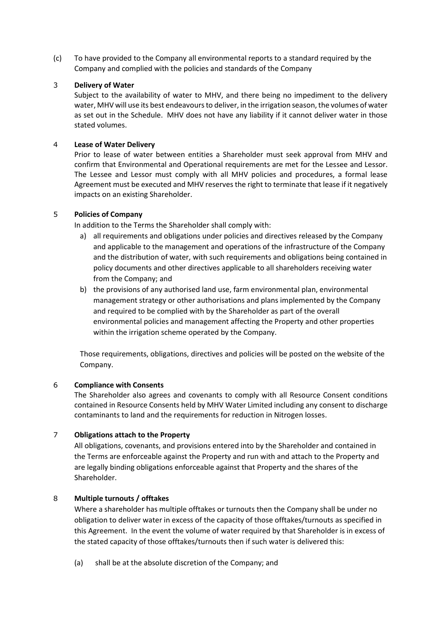(c) To have provided to the Company all environmental reports to a standard required by the Company and complied with the policies and standards of the Company

### 3 **Delivery of Water**

Subject to the availability of water to MHV, and there being no impediment to the delivery water, MHV will use its best endeavours to deliver, in the irrigation season, the volumes of water as set out in the Schedule. MHV does not have any liability if it cannot deliver water in those stated volumes.

#### 4 **Lease of Water Delivery**

Prior to lease of water between entities a Shareholder must seek approval from MHV and confirm that Environmental and Operational requirements are met for the Lessee and Lessor. The Lessee and Lessor must comply with all MHV policies and procedures, a formal lease Agreement must be executed and MHV reserves the right to terminate that lease if it negatively impacts on an existing Shareholder.

#### 5 **Policies of Company**

In addition to the Terms the Shareholder shall comply with:

- a) all requirements and obligations under policies and directives released by the Company and applicable to the management and operations of the infrastructure of the Company and the distribution of water, with such requirements and obligations being contained in policy documents and other directives applicable to all shareholders receiving water from the Company; and
- b) the provisions of any authorised land use, farm environmental plan, environmental management strategy or other authorisations and plans implemented by the Company and required to be complied with by the Shareholder as part of the overall environmental policies and management affecting the Property and other properties within the irrigation scheme operated by the Company.

Those requirements, obligations, directives and policies will be posted on the website of the Company.

### 6 **Compliance with Consents**

The Shareholder also agrees and covenants to comply with all Resource Consent conditions contained in Resource Consents held by MHV Water Limited including any consent to discharge contaminants to land and the requirements for reduction in Nitrogen losses.

### 7 **Obligations attach to the Property**

All obligations, covenants, and provisions entered into by the Shareholder and contained in the Terms are enforceable against the Property and run with and attach to the Property and are legally binding obligations enforceable against that Property and the shares of the Shareholder.

## 8 **Multiple turnouts / offtakes**

Where a shareholder has multiple offtakes or turnouts then the Company shall be under no obligation to deliver water in excess of the capacity of those offtakes/turnouts as specified in this Agreement. In the event the volume of water required by that Shareholder is in excess of the stated capacity of those offtakes/turnouts then if such water is delivered this:

(a) shall be at the absolute discretion of the Company; and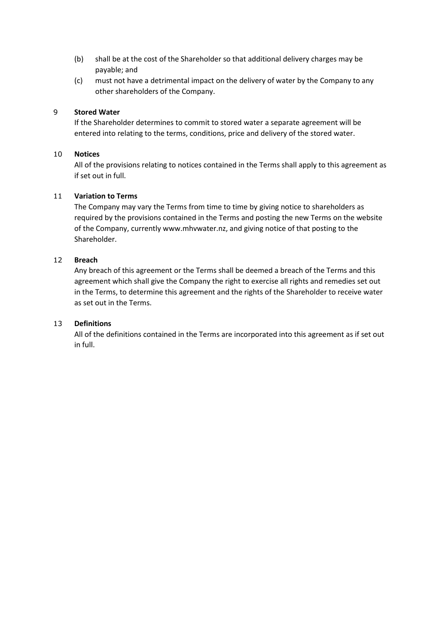- (b) shall be at the cost of the Shareholder so that additional delivery charges may be payable; and
- (c) must not have a detrimental impact on the delivery of water by the Company to any other shareholders of the Company.

## 9 **Stored Water**

If the Shareholder determines to commit to stored water a separate agreement will be entered into relating to the terms, conditions, price and delivery of the stored water.

## 10 **Notices**

All of the provisions relating to notices contained in the Terms shall apply to this agreement as if set out in full.

## 11 **Variation to Terms**

The Company may vary the Terms from time to time by giving notice to shareholders as required by the provisions contained in the Terms and posting the new Terms on the website of the Company, currently www.mhvwater.nz, and giving notice of that posting to the Shareholder.

## 12 **Breach**

Any breach of this agreement or the Terms shall be deemed a breach of the Terms and this agreement which shall give the Company the right to exercise all rights and remedies set out in the Terms, to determine this agreement and the rights of the Shareholder to receive water as set out in the Terms.

## 13 **Definitions**

All of the definitions contained in the Terms are incorporated into this agreement as if set out in full.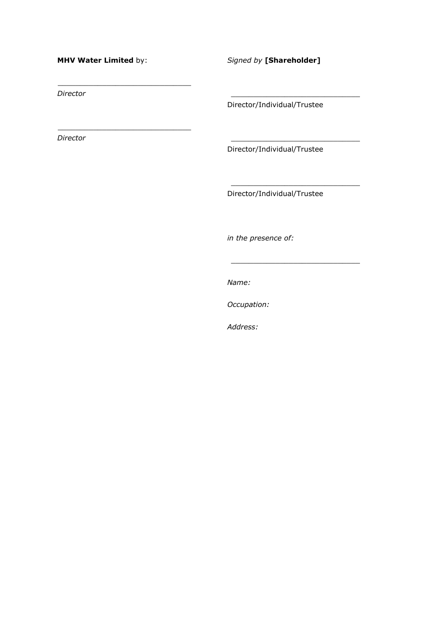#### **MHV Water Limited** by:

\_\_\_\_\_\_\_\_\_\_\_\_\_\_\_\_\_\_\_\_\_\_\_\_\_\_\_\_\_\_

\_\_\_\_\_\_\_\_\_\_\_\_\_\_\_\_\_\_\_\_\_\_\_\_\_\_\_\_\_\_

*Signed by* **[Shareholder]**

*Director*

*Director*

Director/Individual/Trustee

\_\_\_\_\_\_\_\_\_\_\_\_\_\_\_\_\_\_\_\_\_\_\_\_\_\_\_\_\_

\_\_\_\_\_\_\_\_\_\_\_\_\_\_\_\_\_\_\_\_\_\_\_\_\_\_\_\_\_

\_\_\_\_\_\_\_\_\_\_\_\_\_\_\_\_\_\_\_\_\_\_\_\_\_\_\_\_\_

\_\_\_\_\_\_\_\_\_\_\_\_\_\_\_\_\_\_\_\_\_\_\_\_\_\_\_\_\_

Director/Individual/Trustee

Director/Individual/Trustee

*in the presence of:*

*Name:*

*Occupation:*

*Address:*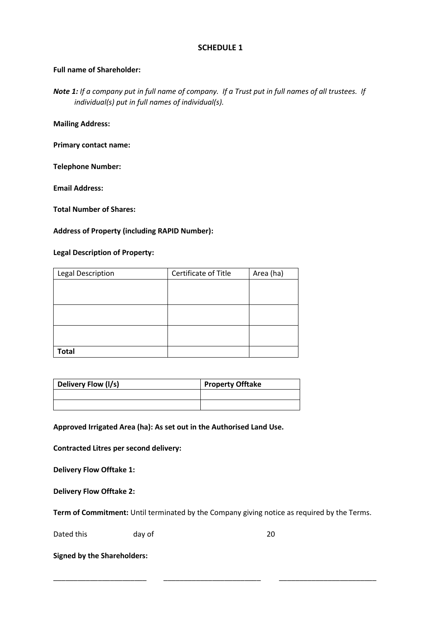## **SCHEDULE 1**

## **Full name of Shareholder:**

*Note 1: If a company put in full name of company. If a Trust put in full names of all trustees. If individual(s) put in full names of individual(s).*

**Mailing Address:**

**Primary contact name:**

**Telephone Number:** 

**Email Address:** 

**Total Number of Shares:**

## **Address of Property (including RAPID Number):**

### **Legal Description of Property:**

| <b>Legal Description</b> | Certificate of Title | Area (ha) |
|--------------------------|----------------------|-----------|
|                          |                      |           |
|                          |                      |           |
|                          |                      |           |
|                          |                      |           |
|                          |                      |           |
|                          |                      |           |
| <b>Total</b>             |                      |           |

| Delivery Flow (I/s) | <b>Property Offtake</b> |  |
|---------------------|-------------------------|--|
|                     |                         |  |
|                     |                         |  |

**Approved Irrigated Area (ha): As set out in the Authorised Land Use.**

**Contracted Litres per second delivery:**

**Delivery Flow Offtake 1:**

**Delivery Flow Offtake 2:**

**Term of Commitment:** Until terminated by the Company giving notice as required by the Terms.

\_\_\_\_\_\_\_\_\_\_\_\_\_\_\_\_\_\_\_\_\_\_\_ \_\_\_\_\_\_\_\_\_\_\_\_\_\_\_\_\_\_\_\_\_\_\_\_ \_\_\_\_\_\_\_\_\_\_\_\_\_\_\_\_\_\_\_\_\_\_\_\_

Dated this day of 20

**Signed by the Shareholders:**